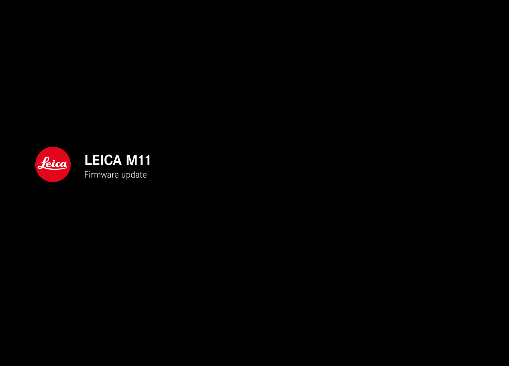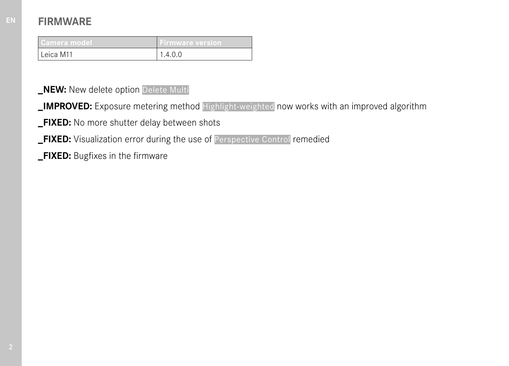| Camera model | <b>Firmware version</b> |
|--------------|-------------------------|
| Leica M11    |                         |

**\_NEW:** New delete option Delete Multi

- **\_IMPROVED:** Exposure metering method Highlight-weighted now works with an improved algorithm
- **\_FIXED:** No more shutter delay between shots
- **\_FIXED:** Visualization error during the use of Perspective Control remedied
- **\_FIXED:** Bugfixes in the firmware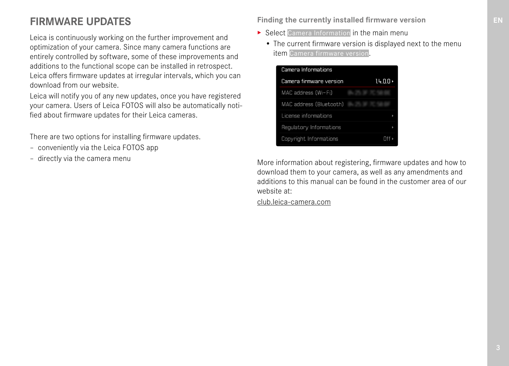# **FIRMWARE UPDATES**

Leica is continuously working on the further improvement and optimization of your camera. Since many camera functions are entirely controlled by software, some of these improvements and additions to the functional scope can be installed in retrospect. Leica offers firmware updates at irregular intervals, which you can download from our website.

Leica will notify you of any new updates, once you have registered your camera. Users of Leica FOTOS will also be automatically notified about firmware updates for their Leica cameras.

There are two options for installing firmware updates.

- conveniently via the Leica FOTOS app
- directly via the camera menu

### **Finding the currently installed firmware version**

- ▶ Select Camera Information in the main menu
	- The current firmware version is displayed next to the menu item Camera firmware version.



More information about registering, firmware updates and how to download them to your camera, as well as any amendments and additions to this manual can be found in the customer area of our website at:

club.leica-camera.com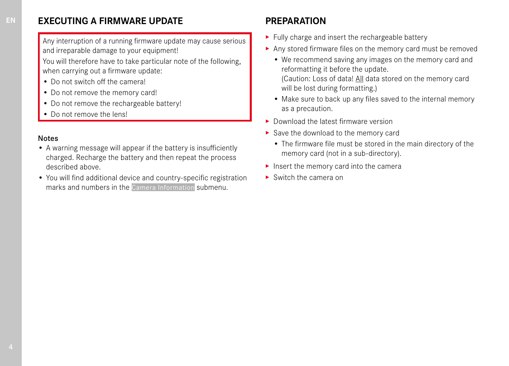## **EXECUTING A FIRMWARE UPDATE**

Any interruption of a running firmware update may cause serious and irreparable damage to your equipment!

You will therefore have to take particular note of the following, when carrying out a firmware update:

- Do not switch off the camera!
- Do not remove the memory card!
- Do not remove the rechargeable battery!
- Do not remove the lens!

#### Notes

- A warning message will appear if the battery is insufficiently charged. Recharge the battery and then repeat the process described above.
- You will find additional device and country-specific registration marks and numbers in the Camera Information submenu.

# **PREPARATION**

- ▸ Fully charge and insert the rechargeable battery
- ▸ Any stored firmware files on the memory card must be removed
	- We recommend saving any images on the memory card and reformatting it before the update. (Caution: Loss of data! All data stored on the memory card will be lost during formatting.)
	- Make sure to back up any files saved to the internal memory as a precaution.
- ▸ Download the latest firmware version
- ▸ Save the download to the memory card
	- The firmware file must be stored in the main directory of the memory card (not in a sub-directory).
- ▸ Insert the memory card into the camera
- ► Switch the camera on